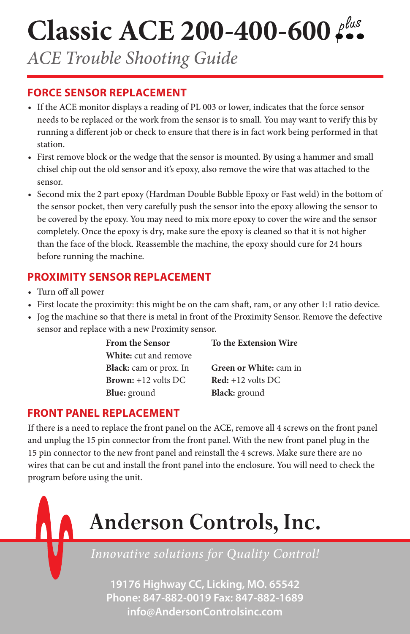# **Classic ACE 200-400-600**

*ACE Trouble Shooting Guide*

#### **FORCE SENSOR REPLACEMENT**

- If the ACE monitor displays a reading of PL 003 or lower, indicates that the force sensor needs to be replaced or the work from the sensor is to small. You may want to verify this by running a different job or check to ensure that there is in fact work being performed in that station.
- First remove block or the wedge that the sensor is mounted. By using a hammer and small chisel chip out the old sensor and it's epoxy, also remove the wire that was attached to the sensor.
- Second mix the 2 part epoxy (Hardman Double Bubble Epoxy or Fast weld) in the bottom of the sensor pocket, then very carefully push the sensor into the epoxy allowing the sensor to be covered by the epoxy. You may need to mix more epoxy to cover the wire and the sensor completely. Once the epoxy is dry, make sure the epoxy is cleaned so that it is not higher than the face of the block. Reassemble the machine, the epoxy should cure for 24 hours before running the machine.

## **PROXIMITY SENSOR REPLACEMENT**

- Turn off all power
- First locate the proximity: this might be on the cam shaft, ram, or any other 1:1 ratio device.
- Jog the machine so that there is metal in front of the Proximity Sensor. Remove the defective sensor and replace with a new Proximity sensor.

| <b>From the Sensor</b>       | To the Extension Wire                      |
|------------------------------|--------------------------------------------|
| <b>White:</b> cut and remove |                                            |
| Black: cam or prox. In       | Green or White: cam in                     |
| <b>Brown:</b> $+12$ volts DC | $\text{Red}: +12 \text{ volts } \text{DC}$ |
| <b>Blue:</b> ground          | <b>Black:</b> ground                       |

#### **FRONT PANEL REPLACEMENT**

If there is a need to replace the front panel on the ACE, remove all 4 screws on the front panel and unplug the 15 pin connector from the front panel. With the new front panel plug in the 15 pin connector to the new front panel and reinstall the 4 screws. Make sure there are no wires that can be cut and install the front panel into the enclosure. You will need to check the program before using the unit.

# **Anderson Controls, Inc.**

*Innovative solutions for Quality Control!*

**19176 Highway CC, Licking, MO. 65542 Phone: 847-882-0019 Fax: 847-882-1689 info@AndersonControlsinc.com**